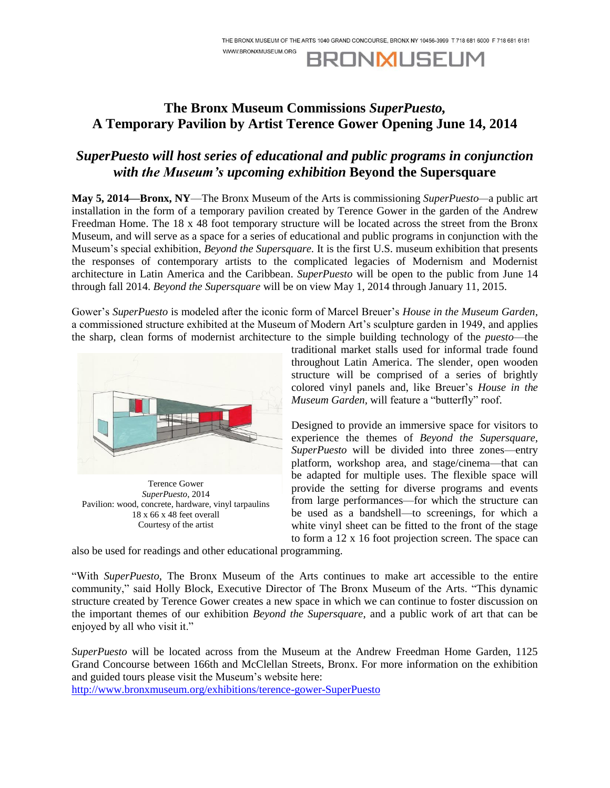**BRONMUSEUM** 

WWW.BRONXMUSEUM.ORG

## **The Bronx Museum Commissions** *SuperPuesto,* **A Temporary Pavilion by Artist Terence Gower Opening June 14, 2014**

# *SuperPuesto will host series of educational and public programs in conjunction with the Museum's upcoming exhibition* **Beyond the Supersquare**

**May 5, 2014—Bronx, NY**—The Bronx Museum of the Arts is commissioning *SuperPuesto—*a public art installation in the form of a temporary pavilion created by Terence Gower in the garden of the Andrew Freedman Home. The 18 x 48 foot temporary structure will be located across the street from the Bronx Museum, and will serve as a space for a series of educational and public programs in conjunction with the Museum's special exhibition, *Beyond the Supersquare.* It is the first U.S. museum exhibition that presents the responses of contemporary artists to the complicated legacies of Modernism and Modernist architecture in Latin America and the Caribbean. *SuperPuesto* will be open to the public from June 14 through fall 2014. *Beyond the Supersquare* will be on view May 1, 2014 through January 11, 2015.

Gower's *SuperPuesto* is modeled after the iconic form of Marcel Breuer's *House in the Museum Garden*, a commissioned structure exhibited at the Museum of Modern Art's sculpture garden in 1949, and applies the sharp, clean forms of modernist architecture to the simple building technology of the *puesto*—the



Terence Gower *SuperPuesto*, 2014 Pavilion: wood, concrete, hardware, vinyl tarpaulins 18 x 66 x 48 feet overall Courtesy of the artist

traditional market stalls used for informal trade found throughout Latin America. The slender, open wooden structure will be comprised of a series of brightly colored vinyl panels and, like Breuer's *House in the Museum Garden,* will feature a "butterfly" roof.

Designed to provide an immersive space for visitors to experience the themes of *Beyond the Supersquare*, *SuperPuesto* will be divided into three zones—entry platform, workshop area, and stage/cinema—that can be adapted for multiple uses. The flexible space will provide the setting for diverse programs and events from large performances—for which the structure can be used as a bandshell—to screenings, for which a white vinyl sheet can be fitted to the front of the stage to form a 12 x 16 foot projection screen. The space can

also be used for readings and other educational programming.

"With *SuperPuesto*, The Bronx Museum of the Arts continues to make art accessible to the entire community," said Holly Block, Executive Director of The Bronx Museum of the Arts. "This dynamic structure created by Terence Gower creates a new space in which we can continue to foster discussion on the important themes of our exhibition *Beyond the Supersquare*, and a public work of art that can be enjoyed by all who visit it."

*SuperPuesto* will be located across from the Museum at the Andrew Freedman Home Garden, 1125 Grand Concourse between 166th and McClellan Streets, Bronx. For more information on the exhibition and guided tours please visit the Museum's website here:

[http://www.bronxmuseum.org/exhibitions/terence-gower-SuperPuesto](http://www.bronxmuseum.org/exhibitions/terence-gower-superpuesto)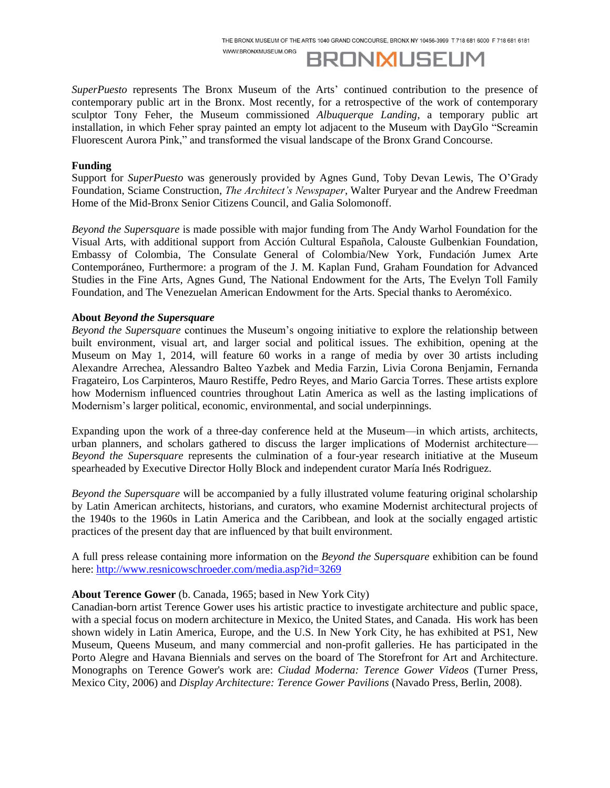WWW.BRONXMUSEUM.ORG

**BRONMUSEUM** 

*SuperPuesto* represents The Bronx Museum of the Arts' continued contribution to the presence of contemporary public art in the Bronx. Most recently, for a retrospective of the work of contemporary sculptor Tony Feher, the Museum commissioned *Albuquerque Landing*, a temporary public art installation, in which Feher spray painted an empty lot adjacent to the Museum with DayGlo "Screamin Fluorescent Aurora Pink," and transformed the visual landscape of the Bronx Grand Concourse.

#### **Funding**

Support for *SuperPuesto* was generously provided by Agnes Gund, Toby Devan Lewis, The O'Grady Foundation, Sciame Construction, *The Architect's Newspaper*, Walter Puryear and the Andrew Freedman Home of the Mid-Bronx Senior Citizens Council, and Galia Solomonoff.

*Beyond the Supersquare* is made possible with major funding from The Andy Warhol Foundation for the Visual Arts, with additional support from Acción Cultural Española, Calouste Gulbenkian Foundation, Embassy of Colombia, The Consulate General of Colombia/New York, Fundación Jumex Arte Contemporáneo, Furthermore: a program of the J. M. Kaplan Fund, Graham Foundation for Advanced Studies in the Fine Arts, Agnes Gund, The National Endowment for the Arts, The Evelyn Toll Family Foundation, and The Venezuelan American Endowment for the Arts. Special thanks to Aeroméxico.

### **About** *Beyond the Supersquare*

*Beyond the Supersquare* continues the Museum's ongoing initiative to explore the relationship between built environment, visual art, and larger social and political issues. The exhibition, opening at the Museum on May 1, 2014, will feature 60 works in a range of media by over 30 artists including Alexandre Arrechea, Alessandro Balteo Yazbek and Media Farzin, Livia Corona Benjamin, Fernanda Fragateiro, Los Carpinteros, Mauro Restiffe, Pedro Reyes, and Mario Garcia Torres. These artists explore how Modernism influenced countries throughout Latin America as well as the lasting implications of Modernism's larger political, economic, environmental, and social underpinnings.

Expanding upon the work of a three-day conference held at the Museum—in which artists, architects, urban planners, and scholars gathered to discuss the larger implications of Modernist architecture— *Beyond the Supersquare* represents the culmination of a four-year research initiative at the Museum spearheaded by Executive Director Holly Block and independent curator María Inés Rodriguez.

*Beyond the Supersquare* will be accompanied by a fully illustrated volume featuring original scholarship by Latin American architects, historians, and curators, who examine Modernist architectural projects of the 1940s to the 1960s in Latin America and the Caribbean, and look at the socially engaged artistic practices of the present day that are influenced by that built environment.

A full press release containing more information on the *Beyond the Supersquare* exhibition can be found here: <http://www.resnicowschroeder.com/media.asp?id=3269>

### **About Terence Gower** (b. Canada, 1965; based in New York City)

Canadian-born artist Terence Gower uses his artistic practice to investigate architecture and public space, with a special focus on modern architecture in Mexico, the United States, and Canada. His work has been shown widely in Latin America, Europe, and the U.S. In New York City, he has exhibited at PS1, New Museum, Queens Museum, and many commercial and non-profit galleries. He has participated in the Porto Alegre and Havana Biennials and serves on the board of The Storefront for Art and Architecture. Monographs on Terence Gower's work are: *Ciudad Moderna: Terence Gower Videos* (Turner Press, Mexico City, 2006) and *Display Architecture: Terence Gower Pavilions* (Navado Press, Berlin, 2008).